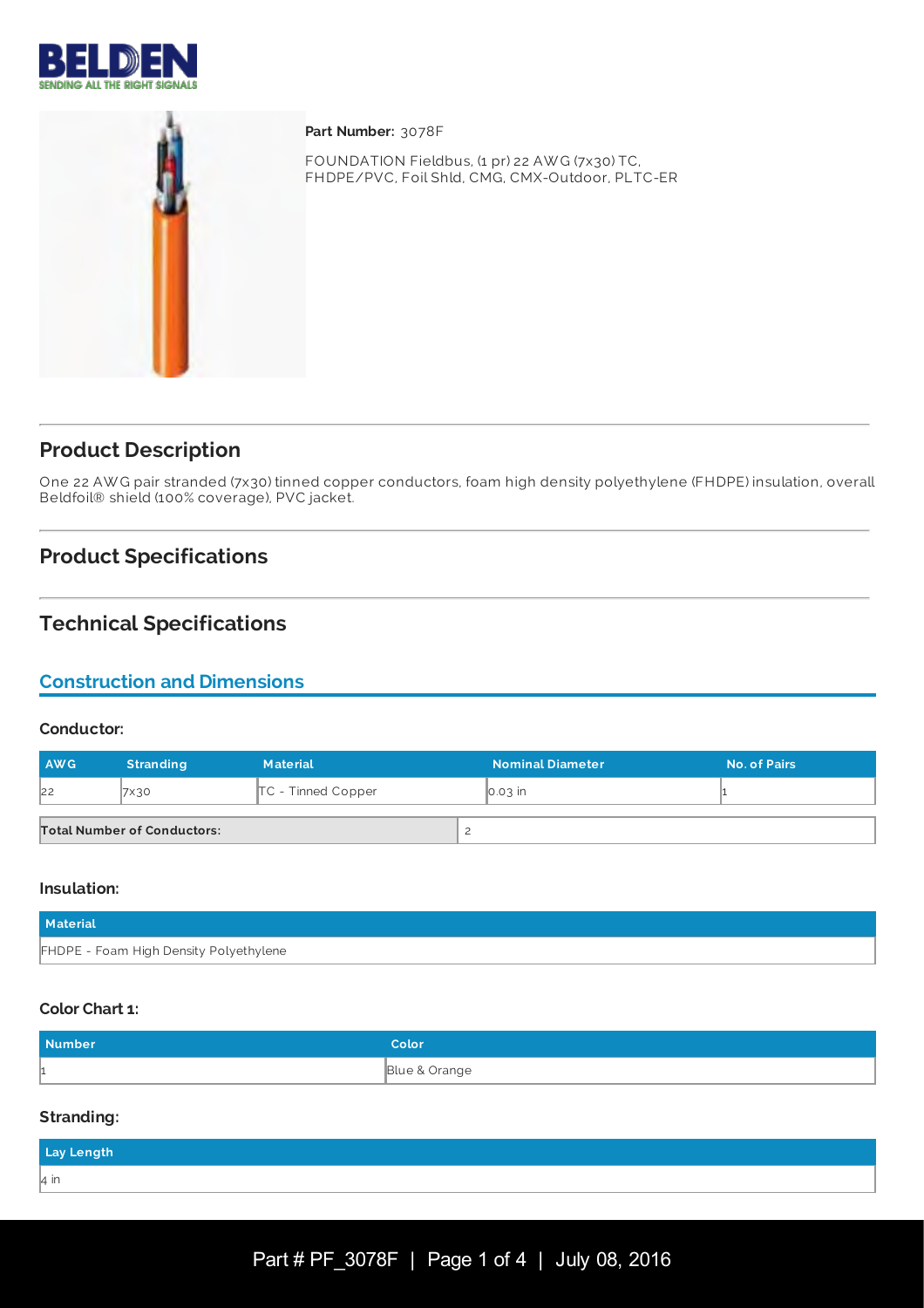



**Part Number:** 3078F

FOUNDATION Fieldbus, (1 pr) 22 AW G (7x30) TC, FHDPE/PVC, Foil Shld, CMG, CMX-Outdoor, PLTC-ER

# **Product Description**

One 22 AW G pair stranded (7x30) tinned copper conductors, foam high density polyethylene (FHDPE) insulation, overall Beldfoil® shield (100% coverage), PVC jacket.

# **Product Specifications**

# **Technical Specifications**

# **Construction and Dimensions**

#### **Conductor:**

| <b>AWG</b> | <b>Stranding</b>                   | <b>Material</b>      | <b>Nominal Diameter</b> | <b>No. of Pairs</b> |
|------------|------------------------------------|----------------------|-------------------------|---------------------|
| 22         | 7×30                               | $TC$ - Tinned Copper | $\overline{0.03}$ in    |                     |
|            | <b>Total Number of Conductors:</b> |                      |                         |                     |

#### **Insulation:**

| Material                               |  |
|----------------------------------------|--|
| FHDPE - Foam High Density Polyethylene |  |

### **Color Chart 1:**

| <b>Number</b> | Color         |
|---------------|---------------|
|               | Blue & Orange |

#### **Stranding:**

| Lay Length |  |  |
|------------|--|--|
| l4 in      |  |  |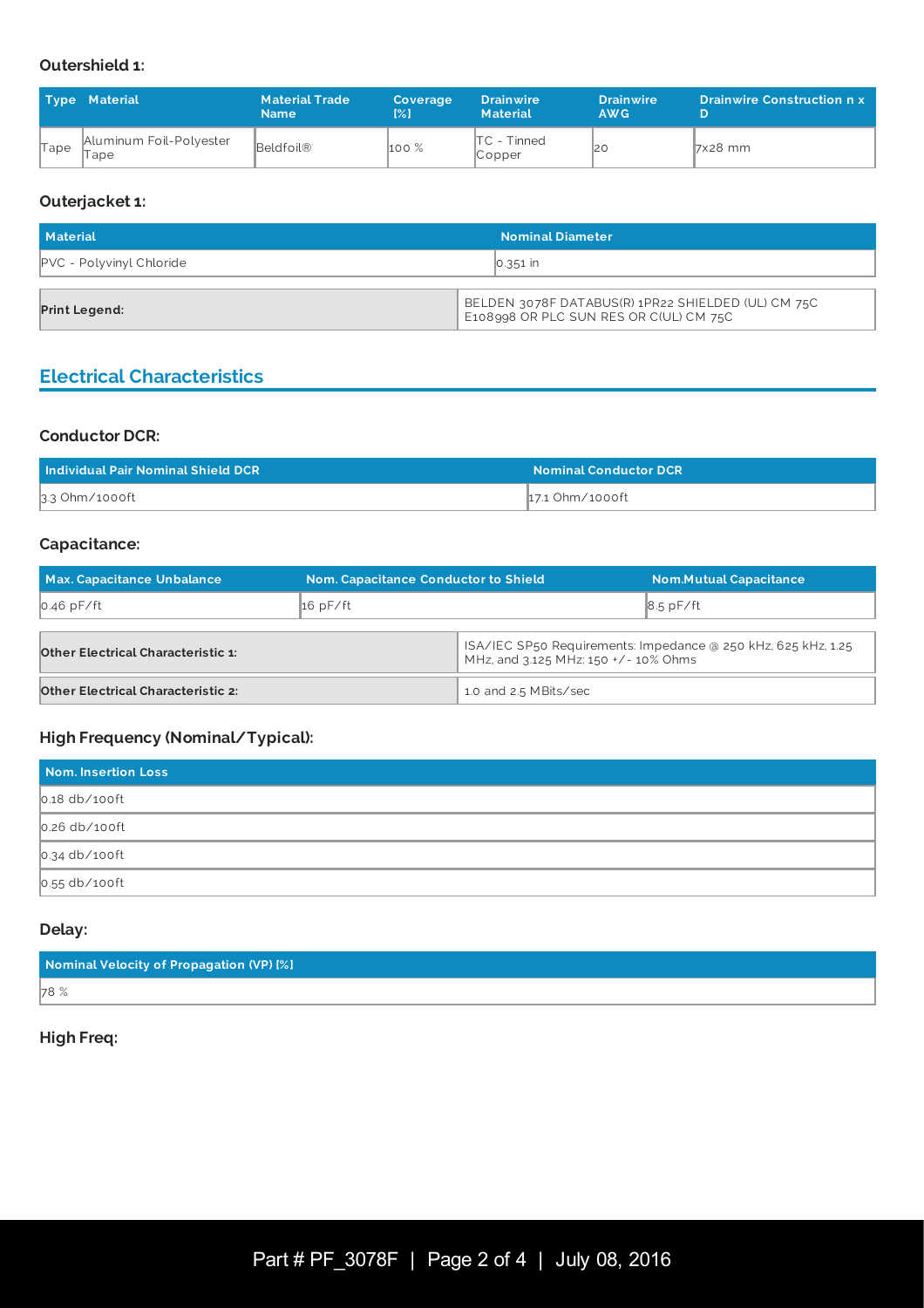## **Outershield 1:**

|      | <b>Type Material</b>              | <b>Material Trade</b><br><b>Name</b> | Coverage<br>$\mathbb{R}^2$     | <b>Drainwire</b><br><b>Material</b> | <b>Drainwire</b><br>AW <sub>G</sub> | <b>Drainwire Construction n x</b> |
|------|-----------------------------------|--------------------------------------|--------------------------------|-------------------------------------|-------------------------------------|-----------------------------------|
| Tape | Aluminum Foil-Polyester<br>II ape | Beldfoil®                            | $\mathsf{h}$ oo $\mathscr{\%}$ | $TC - Tinned$<br>$\mathbb{C}$ opper | 12 C                                | $7x28$ mm                         |

### **Outerjacket 1:**

| Material                        | <b>Nominal Diameter</b>                                                                      |  |
|---------------------------------|----------------------------------------------------------------------------------------------|--|
| <b>PVC</b> - Polyvinyl Chloride | $\vert 0.351 \vert$ in                                                                       |  |
| <b>Print Legend:</b>            | BELDEN 3078F DATABUS(R) 1PR22 SHIELDED (UL) CM 75C<br>E108998 OR PLC SUN RES OR C(UL) CM 75C |  |

# **Electrical Characteristics**

#### **Conductor DCR:**

| Individual Pair Nominal Shield DCR | <b>Nominal Conductor DCR</b> |
|------------------------------------|------------------------------|
| 3.3 Ohm/1000ft                     | ∥17.1 Ohm∕1000ft             |

## **Capacitance:**

| <b>Max. Capacitance Unbalance</b>         | <b>Nom. Capacitance Conductor to Shield</b> |                                                                                                       | <b>Nom.Mutual Capacitance</b> |
|-------------------------------------------|---------------------------------------------|-------------------------------------------------------------------------------------------------------|-------------------------------|
| $0.46$ pF/ft                              | 16pF/ft                                     |                                                                                                       | $8.5$ pF/ft                   |
|                                           |                                             |                                                                                                       |                               |
| <b>Other Electrical Characteristic 1:</b> |                                             | ISA/IEC SP50 Requirements: Impedance @ 250 kHz, 625 kHz, 1.25<br>MHz, and 3.125 MHz: 150 +/- 10% Ohms |                               |
| <b>Other Electrical Characteristic 2:</b> |                                             | 1.0 and 2.5 MBits/sec                                                                                 |                               |

## **High Frequency (Nominal/Typical):**

| Nom. Insertion Loss |
|---------------------|
| $0.18$ db/100ft     |
| $0.26$ db/100ft     |
| $0.34$ db/100ft     |
| $0.55$ db/100ft     |

## **Delay:**

| Nominal Velocity of Propagation (VP) [%] |  |
|------------------------------------------|--|
| 78 %                                     |  |

### **High Freq:**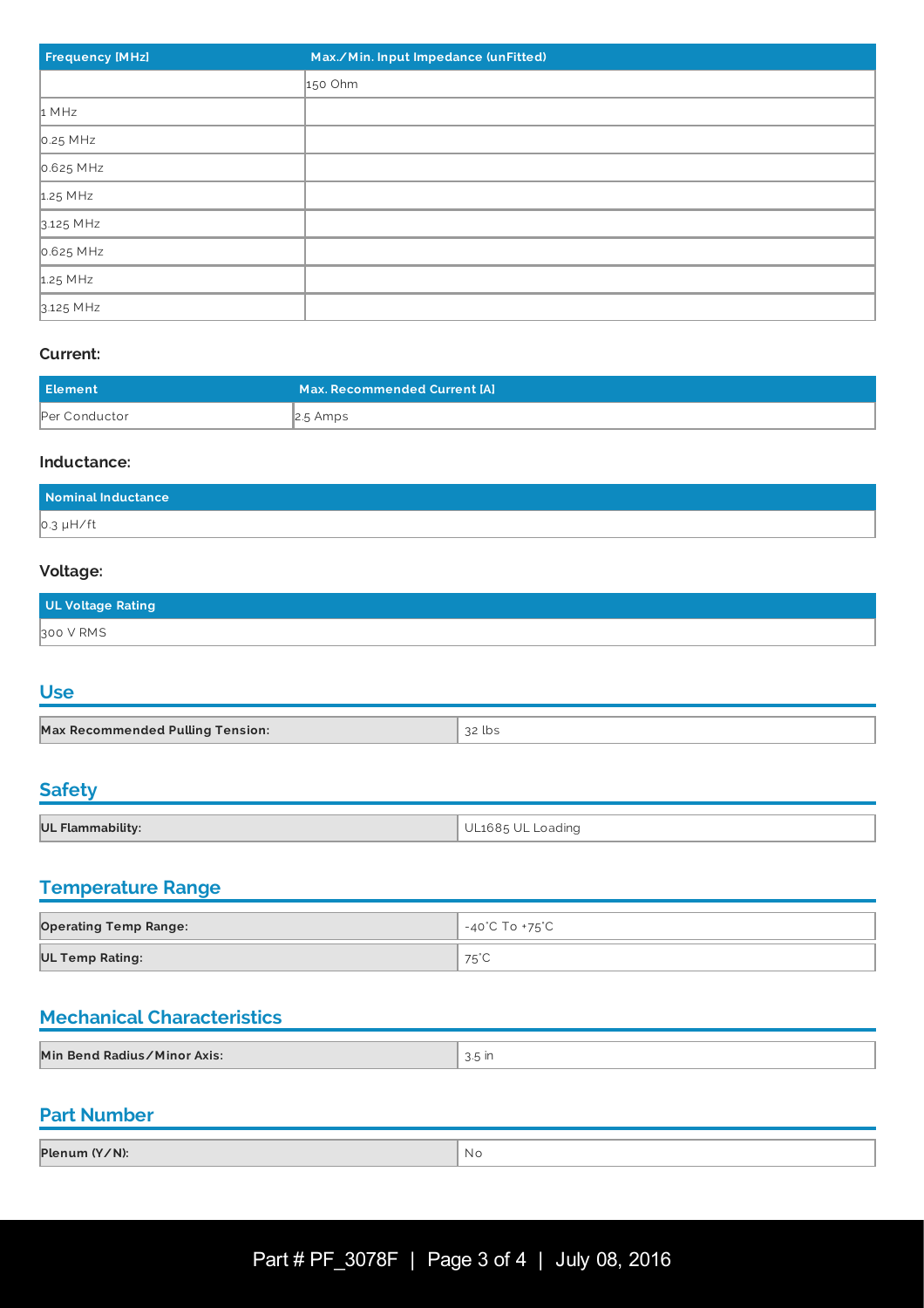| <b>Frequency [MHz]</b> | Max./Min. Input Impedance (unFitted) |
|------------------------|--------------------------------------|
|                        | 150 Ohm                              |
| 1 MHz                  |                                      |
| $0.25$ MHz             |                                      |
| 0.625 MHz              |                                      |
| 1.25 MHz               |                                      |
| 3.125 MHz              |                                      |
| 0.625 MHz              |                                      |
| $1.25$ MHz             |                                      |
| 3.125 MHz              |                                      |

### **Current:**

| Element       | Max. Recommended Current [A] |
|---------------|------------------------------|
| Per Conductor | $\vert$ 2.5 Amps             |

#### **Inductance:**

| Nominal Inductance |  |
|--------------------|--|
| $0.3 \mu H / ft$   |  |

## **Voltage:**

| UL Voltage Rating |  |
|-------------------|--|
| 300 V RMS         |  |

# **Use**

| <b>Max Recommended Pulling Tension:</b> | ว2 lbs |
|-----------------------------------------|--------|

## **Safety**

| UL Flammability: | UL1685 UL<br>Loading |
|------------------|----------------------|

## **Temperature Range**

| <b>Operating Temp Range:</b> | , -40˚C To +75˚C |
|------------------------------|------------------|
| <b>UL Temp Rating:</b>       | 75°C             |

# **Mechanical Characteristics**

| Min Bend Radius/Minor Axis:<br>ا اا ر⊙ن ِ |  |
|-------------------------------------------|--|
|                                           |  |

# **Part Number**

| Plenum (Y/N): | Νo |
|---------------|----|